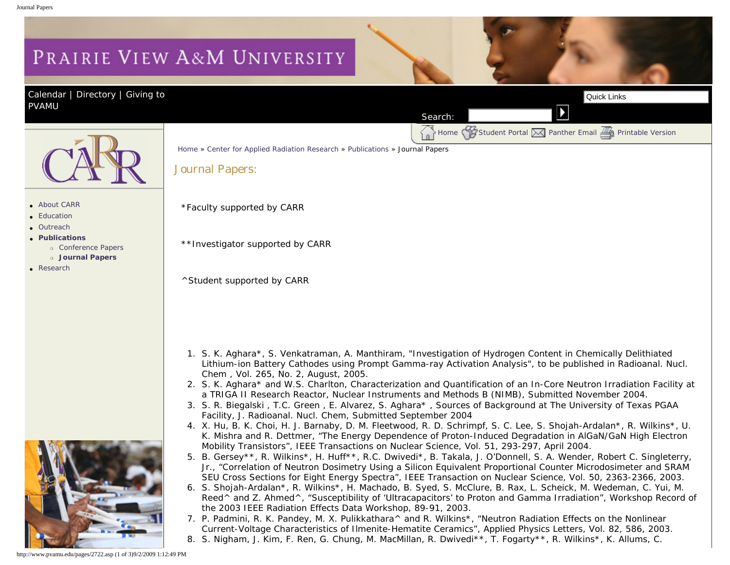## <span id="page-0-0"></span>PRAIRIE VIEW A&M UNIVERSITY

[Calendar](http://www.pvamu.edu/pages/105.asp) | [Directory](http://www.pvamu.edu/pages/225.asp) | Giving to [PVAMU](http://www.pvamu.edu/giving) 

Home [Student Portal](http://panthertracks.pvamu.edu/) [Panther Email](http://www.pvamu.edu/pages/1740.asp) Finitable Version



- [About CARR](http://www.pvamu.edu/pages/2716.asp)
- [Education](http://www.pvamu.edu/pages/2718.asp)
- [Outreach](http://www.pvamu.edu/pages/2719.asp)
- ● **[Publications](http://www.pvamu.edu/pages/2720.asp)**
	- ❍ [Conference Papers](http://www.pvamu.edu/pages/2721.asp)
	- ❍ **[Journal Papers](#page-0-0)**
- [Research](http://www.pvamu.edu/pages/2723.asp)



[Home](http://www.pvamu.edu/pages/1.asp) » [Center for Applied Radiation Research](http://www.pvamu.edu/pages/2715.asp) » [Publications](http://www.pvamu.edu/pages/2720.asp) » Journal Papers

Journal Papers:

\*Faculty supported by CARR

\*\*Investigator supported by CARR

^Student supported by CARR

1. S. K. Aghara\*, S. Venkatraman, A. Manthiram, "Investigation of Hydrogen Content in Chemically Delithiated Lithium-ion Battery Cathodes using Prompt Gamma-ray Activation Analysis", to be published in Radioanal. Nucl. Chem , Vol. 265, No. 2, August, 2005.

Search:

- 2. S. K. Aghara\* and W.S. Charlton, Characterization and Quantification of an In-Core Neutron Irradiation Facility at a TRIGA II Research Reactor, Nuclear Instruments and Methods B (NIMB), Submitted November 2004.
- 3. S. R. Biegalski , T.C. Green , E. Alvarez, S. Aghara\* , Sources of Background at The University of Texas PGAA Facility, J. Radioanal. Nucl. Chem, Submitted September 2004
- 4. X. Hu, B. K. Choi, H. J. Barnaby, D. M. Fleetwood, R. D. Schrimpf, S. C. Lee, S. Shojah-Ardalan\*, R. Wilkins\*, U. K. Mishra and R. Dettmer, "The Energy Dependence of Proton-Induced Degradation in AlGaN/GaN High Electron Mobility Transistors", IEEE Transactions on Nuclear Science, Vol. 51, 293-297, April 2004.
- 5. B. Gersey\*\*, R. Wilkins\*, H. Huff\*\*, R.C. Dwivedi\*, B. Takala, J. O'Donnell, S. A. Wender, Robert C. Singleterry, Jr., "Correlation of Neutron Dosimetry Using a Silicon Equivalent Proportional Counter Microdosimeter and SRAM SEU Cross Sections for Eight Energy Spectra", IEEE Transaction on Nuclear Science, Vol. 50, 2363-2366, 2003.
- 6. S. Shojah-Ardalan\*, R. Wilkins\*, H. Machado, B. Syed, S. McClure, B. Rax, L. Scheick, M. Wedeman, C. Yui, M. Reed^ and Z. Ahmed^, "Susceptibility of 'Ultracapacitors' to Proton and Gamma Irradiation", Workshop Record of the 2003 IEEE Radiation Effects Data Workshop, 89-91, 2003.
- 7. P. Padmini, R. K. Pandey, M. X. Pulikkathara^ and R. Wilkins\*, "Neutron Radiation Effects on the Nonlinear Current-Voltage Characteristics of Ilmenite-Hematite Ceramics", Applied Physics Letters, Vol. 82, 586, 2003. 8. S. Nigham, J. Kim, F. Ren, G. Chung, M. MacMillan, R. Dwivedi\*\*, T. Fogarty\*\*, R. Wilkins\*, K. Allums, C.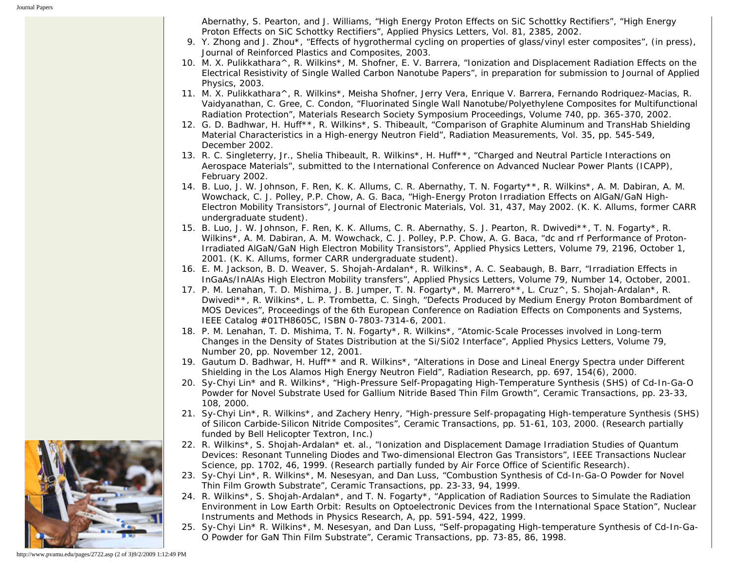Abernathy, S. Pearton, and J. Williams, "High Energy Proton Effects on SiC Schottky Rectifiers", "High Energy Proton Effects on SiC Schottky Rectifiers", Applied Physics Letters, Vol. 81, 2385, 2002.

- 9. Y. Zhong and J. Zhou\*, "Effects of hygrothermal cycling on properties of glass/vinyl ester composites", (in press), Journal of Reinforced Plastics and Composites, 2003.
- 10. M. X. Pulikkathara^, R. Wilkins\*, M. Shofner, E. V. Barrera, "Ionization and Displacement Radiation Effects on the Electrical Resistivity of Single Walled Carbon Nanotube Papers", in preparation for submission to Journal of Applied Physics, 2003.
- 11. M. X. Pulikkathara^, R. Wilkins\*, Meisha Shofner, Jerry Vera, Enrique V. Barrera, Fernando Rodriquez-Macias, R. Vaidyanathan, C. Gree, C. Condon, "Fluorinated Single Wall Nanotube/Polyethylene Composites for Multifunctional Radiation Protection", Materials Research Society Symposium Proceedings, Volume 740, pp. 365-370, 2002.
- 12. G. D. Badhwar, H. Huff\*\*, R. Wilkins\*, S. Thibeault, "Comparison of Graphite Aluminum and TransHab Shielding Material Characteristics in a High-energy Neutron Field", Radiation Measurements, Vol. 35, pp. 545-549, December 2002.
- 13. R. C. Singleterry, Jr., Shelia Thibeault, R. Wilkins\*, H. Huff\*\*, "Charged and Neutral Particle Interactions on Aerospace Materials", submitted to the International Conference on Advanced Nuclear Power Plants (ICAPP), February 2002.
- 14. B. Luo, J. W. Johnson, F. Ren, K. K. Allums, C. R. Abernathy, T. N. Fogarty\*\*, R. Wilkins\*, A. M. Dabiran, A. M. Wowchack, C. J. Polley, P.P. Chow, A. G. Baca, "High-Energy Proton Irradiation Effects on AlGaN/GaN High-Electron Mobility Transistors", Journal of Electronic Materials, Vol. 31, 437, May 2002. (K. K. Allums, former CARR undergraduate student).
- 15. B. Luo, J. W. Johnson, F. Ren, K. K. Allums, C. R. Abernathy, S. J. Pearton, R. Dwivedi\*\*, T. N. Fogarty\*, R. Wilkins\*, A. M. Dabiran, A. M. Wowchack, C. J. Polley, P.P. Chow, A. G. Baca, "dc and rf Performance of Proton-Irradiated AlGaN/GaN High Electron Mobility Transistors", Applied Physics Letters, Volume 79, 2196, October 1, 2001. (K. K. Allums, former CARR undergraduate student).
- 16. E. M. Jackson, B. D. Weaver, S. Shojah-Ardalan\*, R. Wilkins\*, A. C. Seabaugh, B. Barr, "Irradiation Effects in InGaAs/InAlAs High Electron Mobility transfers", Applied Physics Letters, Volume 79, Number 14, October, 2001.
- 17. P. M. Lenahan, T. D. Mishima, J. B. Jumper, T. N. Fogarty\*, M. Marrero\*\*, L. Cruz^, S. Shojah-Ardalan\*, R. Dwivedi\*\*, R. Wilkins\*, L. P. Trombetta, C. Singh, "Defects Produced by Medium Energy Proton Bombardment of MOS Devices", Proceedings of the 6th European Conference on Radiation Effects on Components and Systems, IEEE Catalog #01TH8605C, ISBN 0-7803-7314-6, 2001.
- 18. P. M. Lenahan, T. D. Mishima, T. N. Fogarty\*, R. Wilkins\*, "Atomic-Scale Processes involved in Long-term Changes in the Density of States Distribution at the Si/Si02 Interface", Applied Physics Letters, Volume 79, Number 20, pp. November 12, 2001.
- 19. Gautum D. Badhwar, H. Huff\*\* and R. Wilkins\*, "Alterations in Dose and Lineal Energy Spectra under Different Shielding in the Los Alamos High Energy Neutron Field", Radiation Research, pp. 697, 154(6), 2000.
- 20. Sy-Chyi Lin\* and R. Wilkins\*, "High-Pressure Self-Propagating High-Temperature Synthesis (SHS) of Cd-In-Ga-O Powder for Novel Substrate Used for Gallium Nitride Based Thin Film Growth", Ceramic Transactions, pp. 23-33, 108, 2000.
- 21. Sy-Chyi Lin\*, R. Wilkins\*, and Zachery Henry, "High-pressure Self-propagating High-temperature Synthesis (SHS) of Silicon Carbide-Silicon Nitride Composites", Ceramic Transactions, pp. 51-61, 103, 2000. (Research partially funded by Bell Helicopter Textron, Inc.)
- 22. R. Wilkins\*, S. Shojah-Ardalan\* et. al., "Ionization and Displacement Damage Irradiation Studies of Quantum Devices: Resonant Tunneling Diodes and Two-dimensional Electron Gas Transistors", IEEE Transactions Nuclear Science, pp. 1702, 46, 1999. (Research partially funded by Air Force Office of Scientific Research).
- 23. Sy-Chyi Lin\*, R. Wilkins\*, M. Nesesyan, and Dan Luss, "Combustion Synthesis of Cd-In-Ga-O Powder for Novel Thin Film Growth Substrate", Ceramic Transactions, pp. 23-33, 94, 1999.
- 24. R. Wilkins\*, S. Shojah-Ardalan\*, and T. N. Fogarty\*, "Application of Radiation Sources to Simulate the Radiation Environment in Low Earth Orbit: Results on Optoelectronic Devices from the International Space Station", Nuclear Instruments and Methods in Physics Research, A, pp. 591-594, 422, 1999.
- 25. Sy-Chyi Lin\* R. Wilkins\*, M. Nesesyan, and Dan Luss, "Self-propagating High-temperature Synthesis of Cd-In-Ga-O Powder for GaN Thin Film Substrate", Ceramic Transactions, pp. 73-85, 86, 1998.



http://www.pvamu.edu/pages/2722.asp (2 of 3)9/2/2009 1:12:49 PM